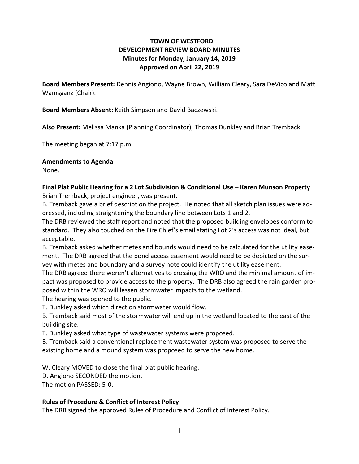# **TOWN OF WESTFORD DEVELOPMENT REVIEW BOARD MINUTES Minutes for Monday, January 14, 2019 Approved on April 22, 2019**

**Board Members Present:** Dennis Angiono, Wayne Brown, William Cleary, Sara DeVico and Matt Wamsganz (Chair).

**Board Members Absent:** Keith Simpson and David Baczewski.

**Also Present:** Melissa Manka (Planning Coordinator), Thomas Dunkley and Brian Tremback.

The meeting began at 7:17 p.m.

### **Amendments to Agenda**

None.

**Final Plat Public Hearing for a 2 Lot Subdivision & Conditional Use – Karen Munson Property**  Brian Tremback, project engineer, was present.

B. Tremback gave a brief description the project. He noted that all sketch plan issues were addressed, including straightening the boundary line between Lots 1 and 2.

The DRB reviewed the staff report and noted that the proposed building envelopes conform to standard. They also touched on the Fire Chief's email stating Lot 2's access was not ideal, but acceptable.

B. Tremback asked whether metes and bounds would need to be calculated for the utility easement. The DRB agreed that the pond access easement would need to be depicted on the survey with metes and boundary and a survey note could identify the utility easement.

The DRB agreed there weren't alternatives to crossing the WRO and the minimal amount of impact was proposed to provide access to the property. The DRB also agreed the rain garden proposed within the WRO will lessen stormwater impacts to the wetland.

The hearing was opened to the public.

T. Dunkley asked which direction stormwater would flow.

B. Tremback said most of the stormwater will end up in the wetland located to the east of the building site.

T. Dunkley asked what type of wastewater systems were proposed.

B. Tremback said a conventional replacement wastewater system was proposed to serve the existing home and a mound system was proposed to serve the new home.

W. Cleary MOVED to close the final plat public hearing.

D. Angiono SECONDED the motion.

The motion PASSED: 5-0.

## **Rules of Procedure & Conflict of Interest Policy**

The DRB signed the approved Rules of Procedure and Conflict of Interest Policy.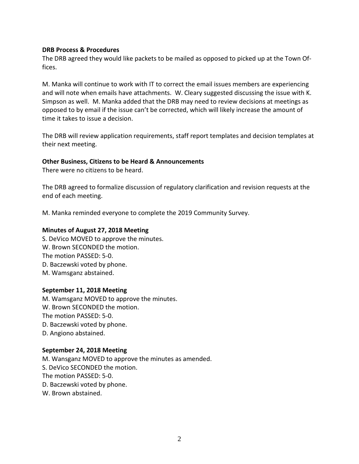### **DRB Process & Procedures**

The DRB agreed they would like packets to be mailed as opposed to picked up at the Town Offices.

M. Manka will continue to work with IT to correct the email issues members are experiencing and will note when emails have attachments. W. Cleary suggested discussing the issue with K. Simpson as well. M. Manka added that the DRB may need to review decisions at meetings as opposed to by email if the issue can't be corrected, which will likely increase the amount of time it takes to issue a decision.

The DRB will review application requirements, staff report templates and decision templates at their next meeting.

### **Other Business, Citizens to be Heard & Announcements**

There were no citizens to be heard.

The DRB agreed to formalize discussion of regulatory clarification and revision requests at the end of each meeting.

M. Manka reminded everyone to complete the 2019 Community Survey.

#### **Minutes of August 27, 2018 Meeting**

S. DeVico MOVED to approve the minutes. W. Brown SECONDED the motion. The motion PASSED: 5-0. D. Baczewski voted by phone. M. Wamsganz abstained.

#### **September 11, 2018 Meeting**

M. Wamsganz MOVED to approve the minutes. W. Brown SECONDED the motion. The motion PASSED: 5-0. D. Baczewski voted by phone. D. Angiono abstained.

#### **September 24, 2018 Meeting**

M. Wansganz MOVED to approve the minutes as amended. S. DeVico SECONDED the motion. The motion PASSED: 5-0. D. Baczewski voted by phone. W. Brown abstained.